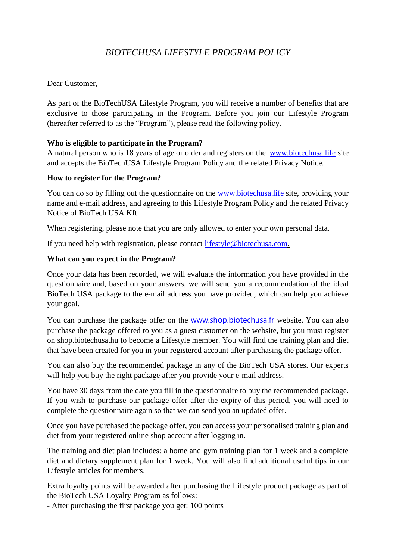# *BIOTECHUSA LIFESTYLE PROGRAM POLICY*

# Dear Customer,

As part of the BioTechUSA Lifestyle Program, you will receive a number of benefits that are exclusive to those participating in the Program. Before you join our Lifestyle Program (hereafter referred to as the "Program"), please read the following policy.

# **Who is eligible to participate in the Program?**

A natural person who is 18 years of age or older and registers on the [www.biotechusa.life](http://www.biotechusa.life/) site and accepts the BioTechUSA Lifestyle Program Policy and the related Privacy Notice.

## **How to register for the Program?**

You can do so by filling out the questionnaire on the [www.biotechusa.life](http://www.biotechusa.life/) site, providing your name and e-mail address, and agreeing to this Lifestyle Program Policy and the related Privacy Notice of BioTech USA Kft.

When registering, please note that you are only allowed to enter your own personal data.

If you need help with registration, please contact [lifestyle@biotechusa.com.](mailto:lifestyle@biotechusa.com)

## **What can you expect in the Program?**

Once your data has been recorded, we will evaluate the information you have provided in the questionnaire and, based on your answers, we will send you a recommendation of the ideal BioTech USA package to the e-mail address you have provided, which can help you achieve your goal.

You can purchase the package offer on the [www.shop.biotechusa.fr](http://www.shop.biotechusa.fr/) website. You can also purchase the package offered to you as a guest customer on the website, but you must register on shop.biotechusa.hu to become a Lifestyle member. You will find the training plan and diet that have been created for you in your registered account after purchasing the package offer.

You can also buy the recommended package in any of the BioTech USA stores. Our experts will help you buy the right package after you provide your e-mail address.

You have 30 days from the date you fill in the questionnaire to buy the recommended package. If you wish to purchase our package offer after the expiry of this period, you will need to complete the questionnaire again so that we can send you an updated offer.

Once you have purchased the package offer, you can access your personalised training plan and diet from your registered online shop account after logging in.

The training and diet plan includes: a home and gym training plan for 1 week and a complete diet and dietary supplement plan for 1 week. You will also find additional useful tips in our Lifestyle articles for members.

Extra loyalty points will be awarded after purchasing the Lifestyle product package as part of the BioTech USA Loyalty Program as follows:

- After purchasing the first package you get: 100 points